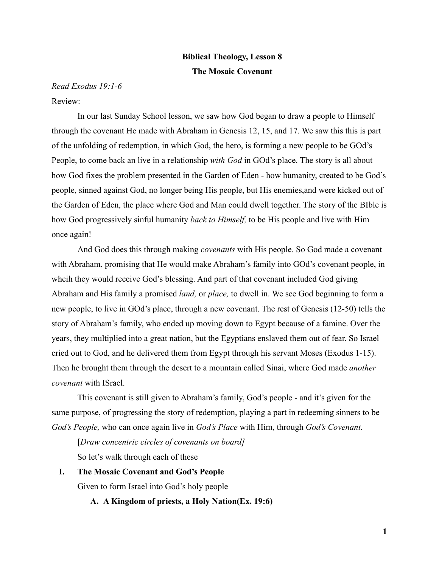# **Biblical Theology, Lesson 8 The Mosaic Covenant**

## *Read Exodus 19:1-6* Review:

In our last Sunday School lesson, we saw how God began to draw a people to Himself through the covenant He made with Abraham in Genesis 12, 15, and 17. We saw this this is part of the unfolding of redemption, in which God, the hero, is forming a new people to be GOd's People, to come back an live in a relationship *with God* in GOd's place. The story is all about how God fixes the problem presented in the Garden of Eden - how humanity, created to be God's people, sinned against God, no longer being His people, but His enemies,and were kicked out of the Garden of Eden, the place where God and Man could dwell together. The story of the BIble is how God progressively sinful humanity *back to Himself,* to be His people and live with Him once again!

And God does this through making *covenants* with His people. So God made a covenant with Abraham, promising that He would make Abraham's family into GOd's covenant people, in whcih they would receive God's blessing. And part of that covenant included God giving Abraham and His family a promised *land,* or *place,* to dwell in. We see God beginning to form a new people, to live in GOd's place, through a new covenant. The rest of Genesis (12-50) tells the story of Abraham's family, who ended up moving down to Egypt because of a famine. Over the years, they multiplied into a great nation, but the Egyptians enslaved them out of fear. So Israel cried out to God, and he delivered them from Egypt through his servant Moses (Exodus 1-15). Then he brought them through the desert to a mountain called Sinai, where God made *another covenant* with ISrael.

This covenant is still given to Abraham's family, God's people - and it's given for the same purpose, of progressing the story of redemption, playing a part in redeeming sinners to be *God's People,* who can once again live in *God's Place* with Him, through *God's Covenant.*

[*Draw concentric circles of covenants on board]* So let's walk through each of these

**I. The Mosaic Covenant and God's People** Given to form Israel into God's holy people

**A. A Kingdom of priests, a Holy Nation(Ex. 19:6)**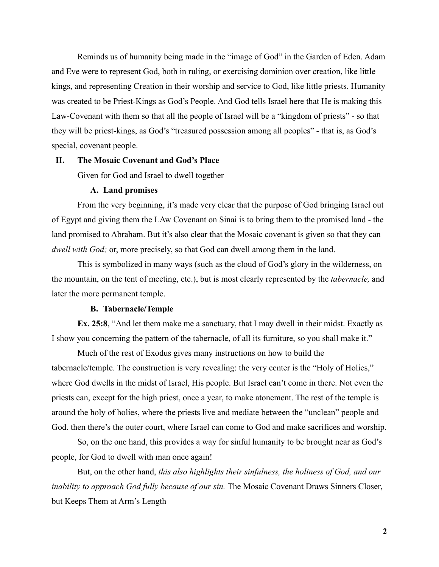Reminds us of humanity being made in the "image of God" in the Garden of Eden. Adam and Eve were to represent God, both in ruling, or exercising dominion over creation, like little kings, and representing Creation in their worship and service to God, like little priests. Humanity was created to be Priest-Kings as God's People. And God tells Israel here that He is making this Law-Covenant with them so that all the people of Israel will be a "kingdom of priests" - so that they will be priest-kings, as God's "treasured possession among all peoples" - that is, as God's special, covenant people.

#### **II. The Mosaic Covenant and God's Place**

Given for God and Israel to dwell together

#### **A. Land promises**

From the very beginning, it's made very clear that the purpose of God bringing Israel out of Egypt and giving them the LAw Covenant on Sinai is to bring them to the promised land - the land promised to Abraham. But it's also clear that the Mosaic covenant is given so that they can *dwell with God;* or, more precisely, so that God can dwell among them in the land.

This is symbolized in many ways (such as the cloud of God's glory in the wilderness, on the mountain, on the tent of meeting, etc.), but is most clearly represented by the *tabernacle,* and later the more permanent temple.

#### **B. Tabernacle/Temple**

**Ex. 25:8**, "And let them make me a sanctuary, that I may dwell in their midst. Exactly as I show you concerning the pattern of the tabernacle, of all its furniture, so you shall make it."

Much of the rest of Exodus gives many instructions on how to build the tabernacle/temple. The construction is very revealing: the very center is the "Holy of Holies," where God dwells in the midst of Israel, His people. But Israel can't come in there. Not even the priests can, except for the high priest, once a year, to make atonement. The rest of the temple is around the holy of holies, where the priests live and mediate between the "unclean" people and God. then there's the outer court, where Israel can come to God and make sacrifices and worship.

So, on the one hand, this provides a way for sinful humanity to be brought near as God's people, for God to dwell with man once again!

But, on the other hand, *this also highlights their sinfulness, the holiness of God, and our inability to approach God fully because of our sin.* The Mosaic Covenant Draws Sinners Closer, but Keeps Them at Arm's Length